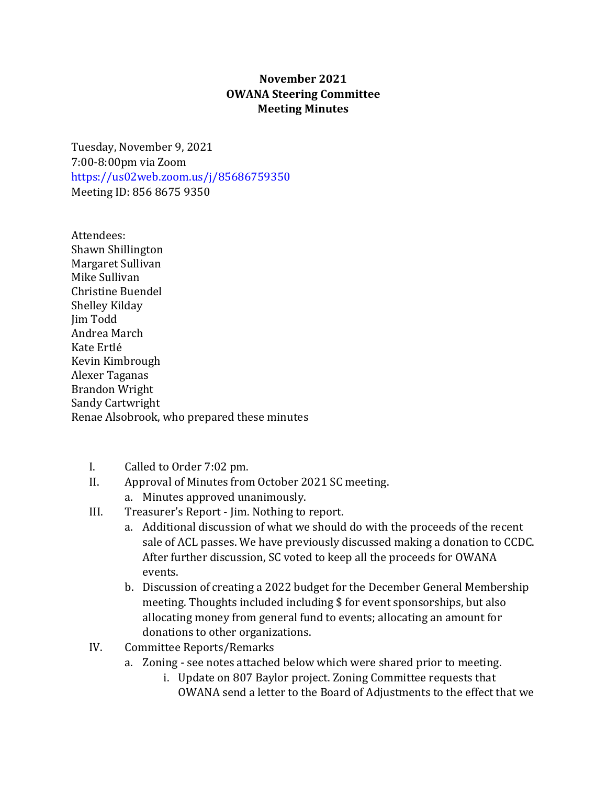## **November 2021 OWANA Steering Committee Meeting Minutes**

Tuesday, November 9, 2021 7:00-8:00pm via Zoom <https://us02web.zoom.us/j/85686759350> Meeting ID: 856 8675 9350

Attendees: Shawn Shillington Margaret Sullivan Mike Sullivan Christine Buendel Shelley Kilday Jim Todd Andrea March Kate Ertlé Kevin Kimbrough Alexer Taganas Brandon Wright Sandy Cartwright Renae Alsobrook, who prepared these minutes

- I. Called to Order 7:02 pm.<br>II. Approval of Minutes from
- Approval of Minutes from October 2021 SC meeting.
	- a. Minutes approved unanimously.
- III. Treasurer's Report Jim. Nothing to report.
	- a. Additional discussion of what we should do with the proceeds of the recent sale of ACL passes. We have previously discussed making a donation to CCDC. After further discussion, SC voted to keep all the proceeds for OWANA events.
	- b. Discussion of creating a 2022 budget for the December General Membership meeting. Thoughts included including \$ for event sponsorships, but also allocating money from general fund to events; allocating an amount for donations to other organizations.
- IV. Committee Reports/Remarks
	- a. Zoning see notes attached below which were shared prior to meeting.
		- i. Update on 807 Baylor project. Zoning Committee requests that OWANA send a letter to the Board of Adjustments to the effect that we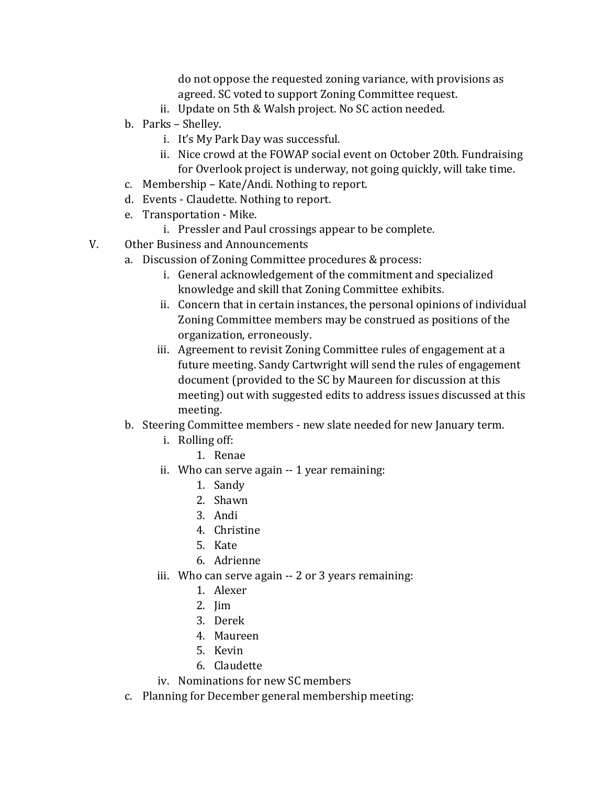do not oppose the requested zoning variance, with provisions as agreed. SC voted to support Zoning Committee request.

- ii. Update on 5th & Walsh project. No SC action needed.
- b. Parks Shelley.
	- i. It's My Park Day was successful.
	- ii. Nice crowd at the FOWAP social event on October 20th. Fundraising for Overlook project is underway, not going quickly, will take time.
- c. Membership Kate/Andi. Nothing to report.
- d. Events Claudette. Nothing to report.
- e. Transportation Mike.
	- i. Pressler and Paul crossings appear to be complete.
- V. Other Business and Announcements
	- a. Discussion of Zoning Committee procedures & process:
		- i. General acknowledgement of the commitment and specialized knowledge and skill that Zoning Committee exhibits.
		- ii. Concern that in certain instances, the personal opinions of individual Zoning Committee members may be construed as positions of the organization, erroneously.
		- iii. Agreement to revisit Zoning Committee rules of engagement at a future meeting. Sandy Cartwright will send the rules of engagement document (provided to the SC by Maureen for discussion at this meeting) out with suggested edits to address issues discussed at this meeting.
	- b. Steering Committee members new slate needed for new January term.
		- i. Rolling off:
			- 1. Renae
		- ii. Who can serve again -- 1 year remaining:
			- 1. Sandy
			- 2. Shawn
			- 3. Andi
			- 4. Christine
			- 5. Kate
			- 6. Adrienne
		- iii. Who can serve again -- 2 or 3 years remaining:
			- 1. Alexer
			- 2. Jim
			- 3. Derek
			- 4. Maureen
			- 5. Kevin
			- 6. Claudette
		- iv. Nominations for new SC members
	- c. Planning for December general membership meeting: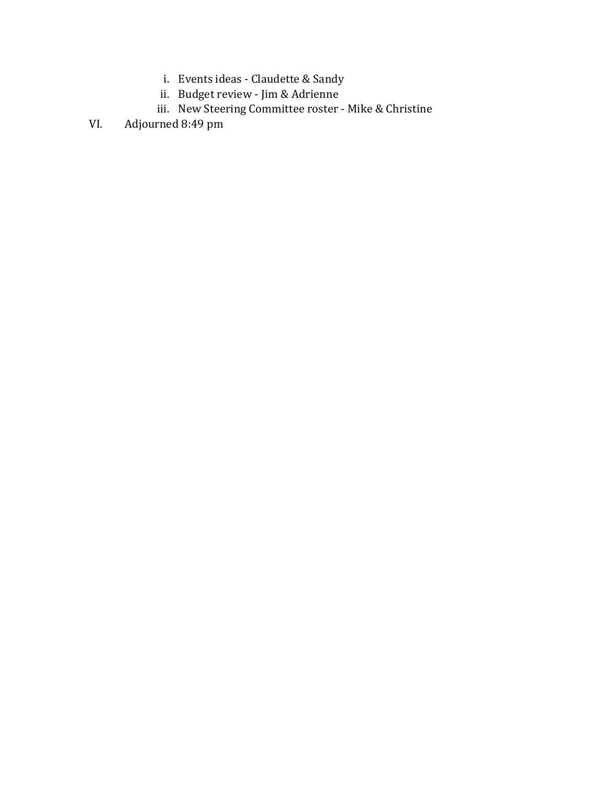- i. Events ideas Claudette & Sandy
- ii. Budget review Jim & Adrienne
- iii. New Steering Committee roster Mike & Christine
- VI. Adjourned 8:49 pm